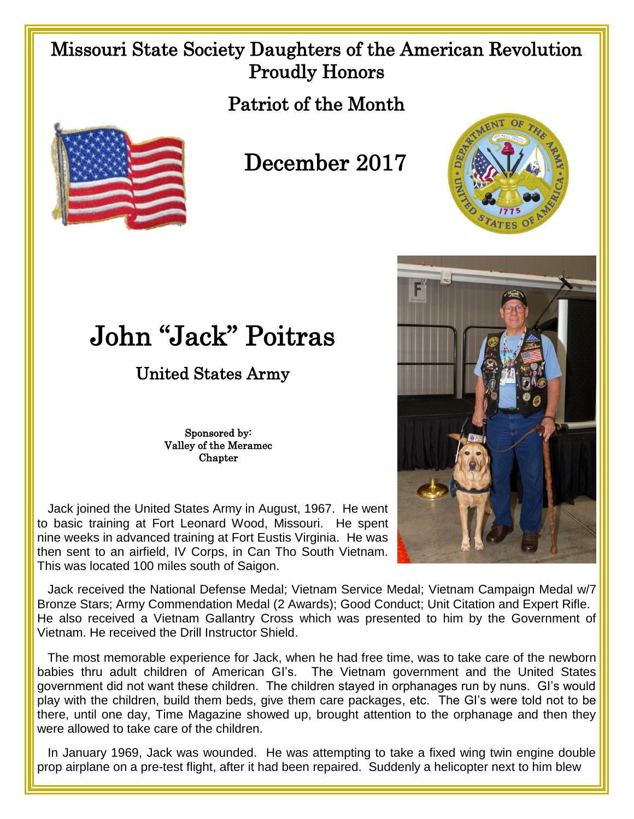## Missouri State Society Daughters of the American Revolution Proudly Honors

Patriot of the Month



## December 2017





## John "Jack" Poitras

## United States Army

Sponsored by: Valley of the Meramec **Chapter** 

 Jack joined the United States Army in August, 1967. He went to basic training at Fort Leonard Wood, Missouri. He spent nine weeks in advanced training at Fort Eustis Virginia. He was then sent to an airfield, IV Corps, in Can Tho South Vietnam. This was located 100 miles south of Saigon.

 Jack received the National Defense Medal; Vietnam Service Medal; Vietnam Campaign Medal w/7 Bronze Stars; Army Commendation Medal (2 Awards); Good Conduct; Unit Citation and Expert Rifle. He also received a Vietnam Gallantry Cross which was presented to him by the Government of Vietnam. He received the Drill Instructor Shield.

 The most memorable experience for Jack, when he had free time, was to take care of the newborn babies thru adult children of American GI's. The Vietnam government and the United States government did not want these children. The children stayed in orphanages run by nuns. GI's would play with the children, build them beds, give them care packages, etc. The GI's were told not to be there, until one day, Time Magazine showed up, brought attention to the orphanage and then they were allowed to take care of the children.

 In January 1969, Jack was wounded. He was attempting to take a fixed wing twin engine double prop airplane on a pre-test flight, after it had been repaired. Suddenly a helicopter next to him blew